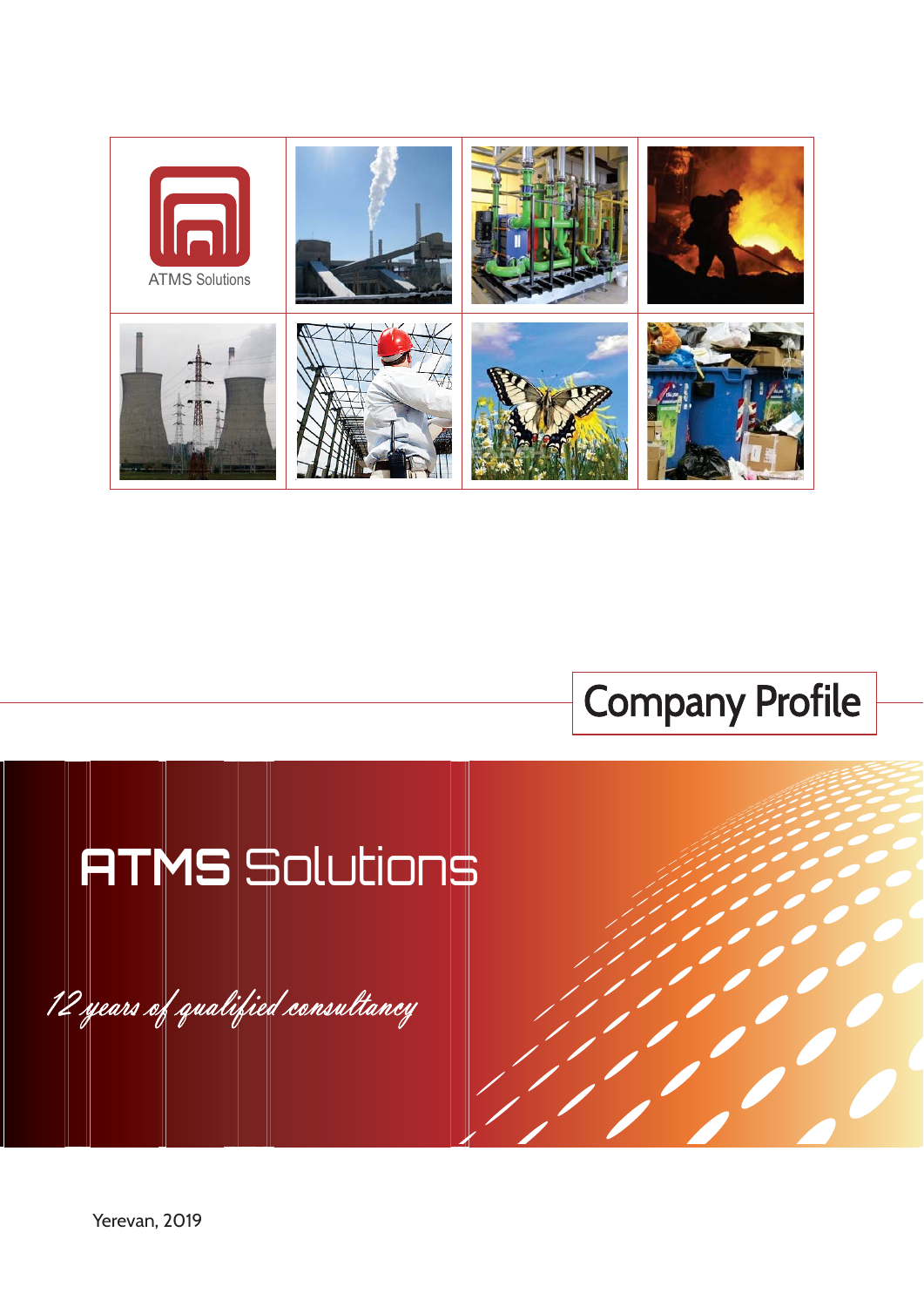



# **ATMS** Solutions

12 years of qualified consultancy

Yerevan, 2019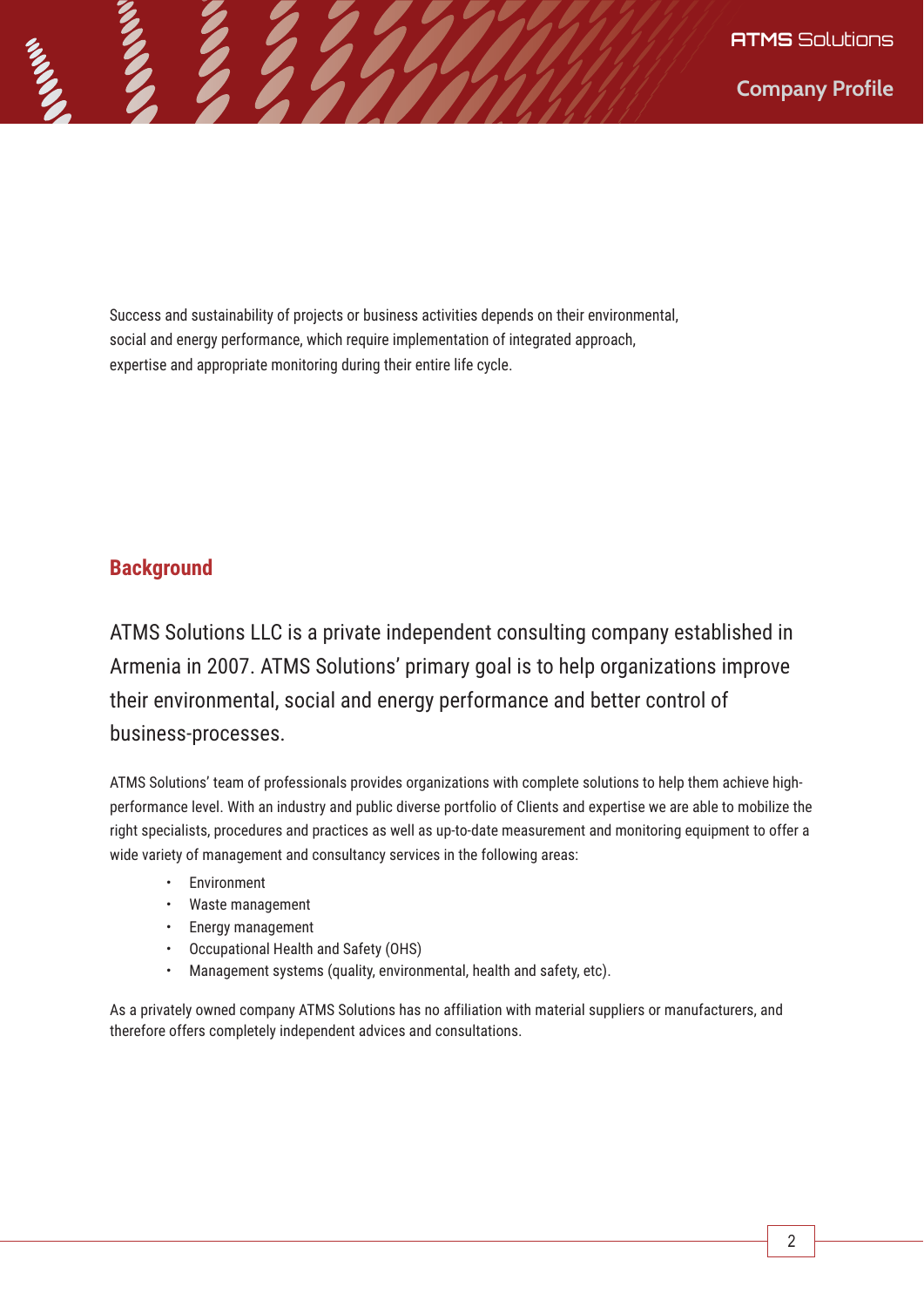Success and sustainability of projects or business activities depends on their environmental, social and energy performance, which require implementation of integrated approach, expertise and appropriate monitoring during their entire life cycle.

# **Background**

ATMS Solutions LLC is a private independent consulting company established in Armenia in 2007. ATMS Solutions' primary goal is to help organizations improve their environmental, social and energy performance and better control of business-processes.

ATMS Solutions' team of professionals provides organizations with complete solutions to help them achieve highperformance level. With an industry and public diverse portfolio of Clients and expertise we are able to mobilize the right specialists, procedures and practices as well as up-to-date measurement and monitoring equipment to offer a wide variety of management and consultancy services in the following areas:

- Environment
- Waste management
- Energy management
- Occupational Health and Safety (OHS)
- Management systems (quality, environmental, health and safety, etc).

As a privately owned company ATMS Solutions has no affiliation with material suppliers or manufacturers, and therefore offers completely independent advices and consultations.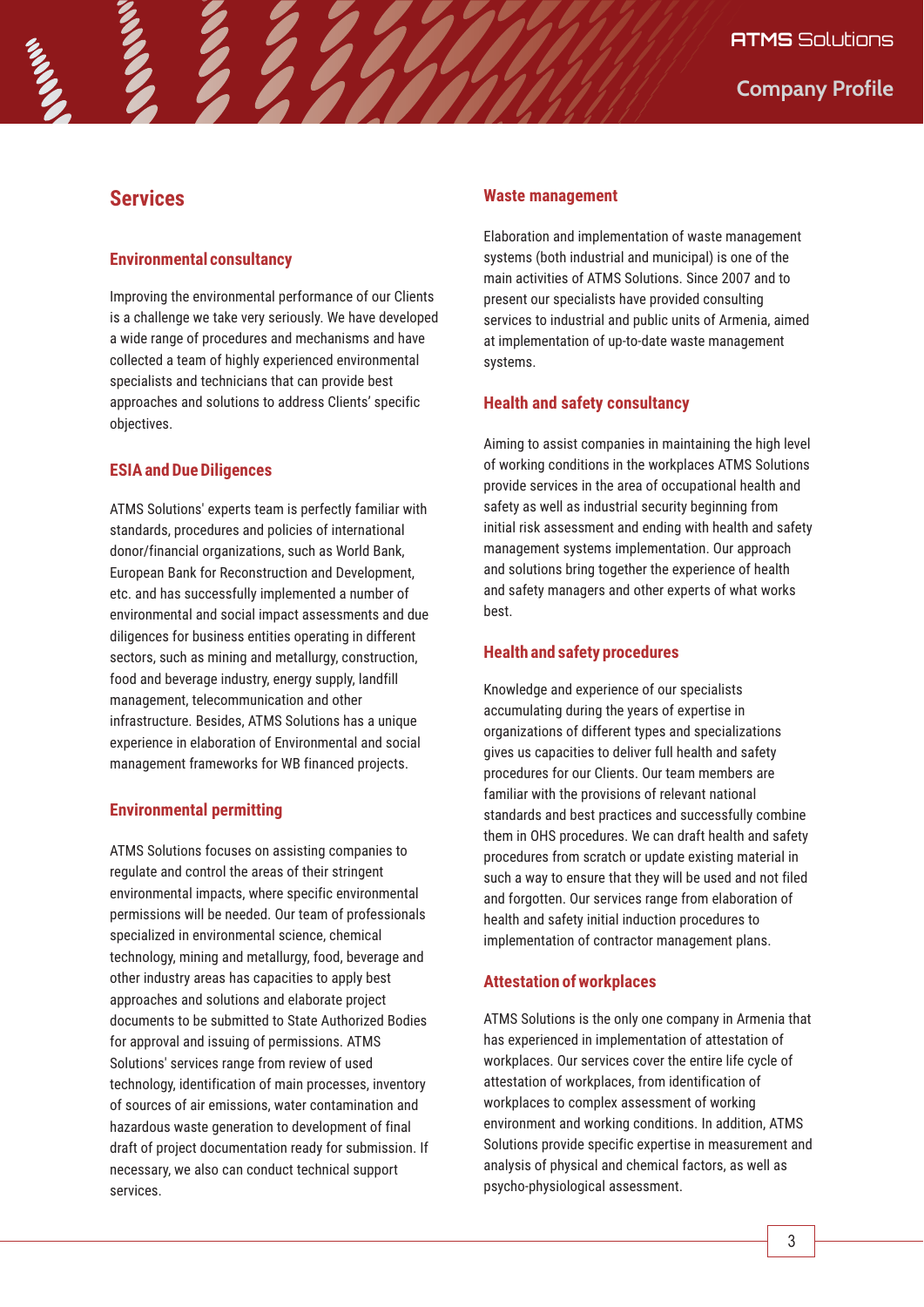# **Services**

## **Environmental consultancy**

Improving the environmental performance of our Clients is a challenge we take very seriously. We have developed a wide range of procedures and mechanisms and have collected a team of highly experienced environmental specialists and technicians that can provide best approaches and solutions to address Clients' specific objectives.

## **ESIA and Due Diligences**

ATMS Solutions' experts team is perfectly familiar with standards, procedures and policies of international donor/financial organizations, such as World Bank, European Bank for Reconstruction and Development, etc. and has successfully implemented a number of environmental and social impact assessments and due diligences for business entities operating in different sectors, such as mining and metallurgy, construction, food and beverage industry, energy supply, landfill management, telecommunication and other infrastructure. Besides, ATMS Solutions has a unique experience in elaboration of Environmental and social management frameworks for WB financed projects.

## **Environmental permitting**

ATMS Solutions focuses on assisting companies to regulate and control the areas of their stringent environmental impacts, where specific environmental permissions will be needed. Our team of professionals specialized in environmental science, chemical technology, mining and metallurgy, food, beverage and other industry areas has capacities to apply best approaches and solutions and elaborate project documents to be submitted to State Authorized Bodies for approval and issuing of permissions. ATMS Solutions' services range from review of used technology, identification of main processes, inventory of sources of air emissions, water contamination and hazardous waste generation to development of final draft of project documentation ready for submission. If necessary, we also can conduct technical support services.

### **Waste management**

Elaboration and implementation of waste management systems (both industrial and municipal) is one of the main activities of ATMS Solutions. Since 2007 and to present our specialists have provided consulting services to industrial and public units of Armenia, aimed at implementation of up-to-date waste management systems.

## **Health and safety consultancy**

Aiming to assist companies in maintaining the high level of working conditions in the workplaces ATMS Solutions provide services in the area of occupational health and safety as well as industrial security beginning from initial risk assessment and ending with health and safety management systems implementation. Our approach and solutions bring together the experience of health and safety managers and other experts of what works best.

### **Health and safety procedures**

Knowledge and experience of our specialists accumulating during the years of expertise in organizations of different types and specializations gives us capacities to deliver full health and safety procedures for our Clients. Our team members are familiar with the provisions of relevant national standards and best practices and successfully combine them in OHS procedures. We can draft health and safety procedures from scratch or update existing material in such a way to ensure that they will be used and not filed and forgotten. Our services range from elaboration of health and safety initial induction procedures to implementation of contractor management plans.

## **Attestation of workplaces**

ATMS Solutions is the only one company in Armenia that has experienced in implementation of attestation of workplaces. Our services cover the entire life cycle of attestation of workplaces, from identification of workplaces to complex assessment of working environment and working conditions. In addition, ATMS Solutions provide specific expertise in measurement and analysis of physical and chemical factors, as well as psycho-physiological assessment.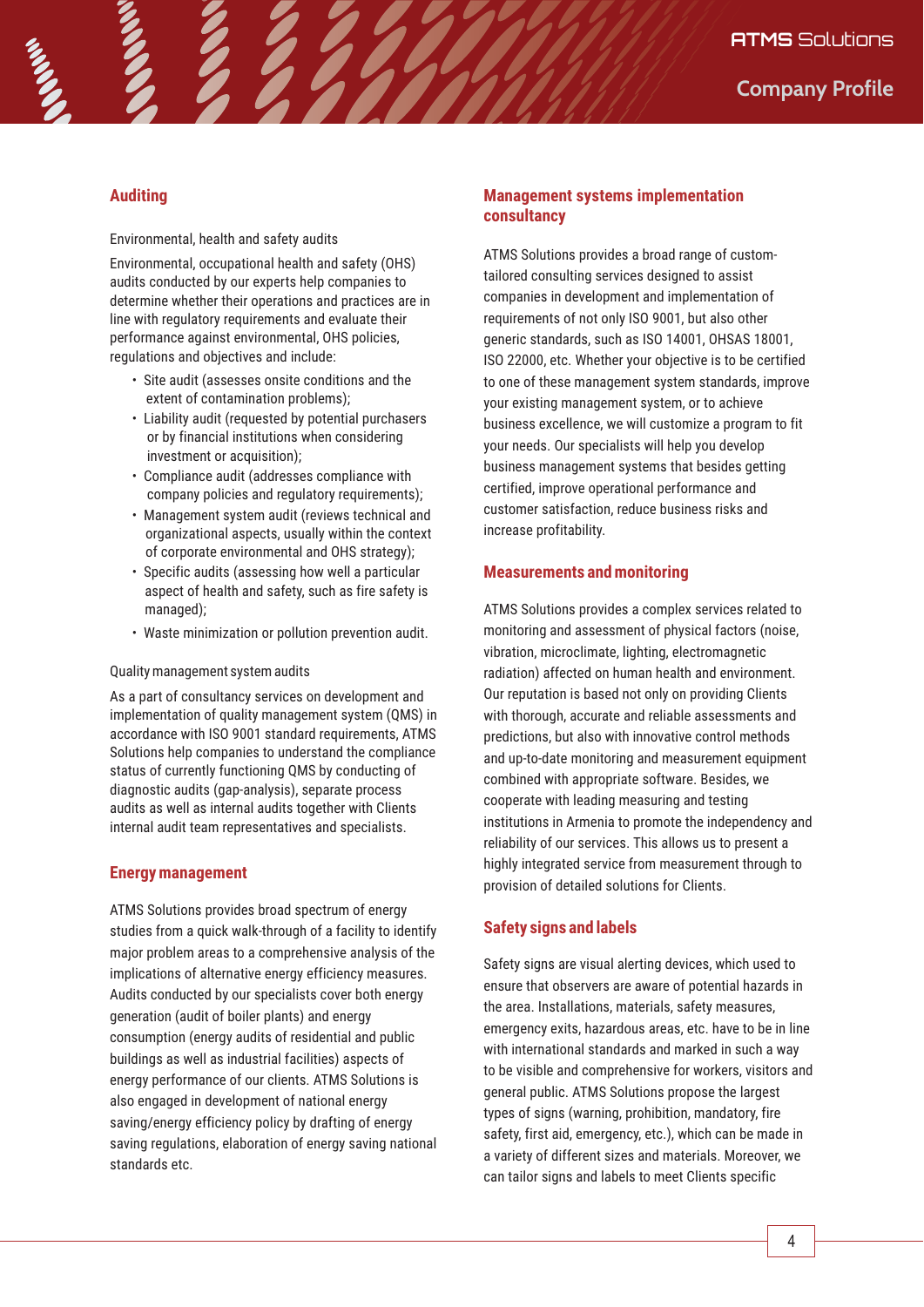# **Auditing**

Environmental, health and safety audits

Environmental, occupational health and safety (OHS) audits conducted by our experts help companies to determine whether their operations and practices are in line with regulatory requirements and evaluate their performance against environmental, OHS policies, regulations and objectives and include:

- Site audit (assesses onsite conditions and the extent of contamination problems);
- Liability audit (requested by potential purchasers or by financial institutions when considering investment or acquisition):
- Compliance audit (addresses compliance with company policies and regulatory requirements);
- Management system audit (reviews technical and organizational aspects, usually within the context of corporate environmental and OHS strategy);
- Specific audits (assessing how well a particular aspect of health and safety, such as fire safety is managed);
- Waste minimization or pollution prevention audit.

#### Quality management system audits

As a part of consultancy services on development and implementation of quality management system (QMS) in accordance with ISO 9001 standard requirements, ATMS Solutions help companies to understand the compliance status of currently functioning QMS by conducting of diagnostic audits (gap-analysis), separate process audits as well as internal audits together with Clients internal audit team representatives and specialists.

## **Energy management**

ATMS Solutions provides broad spectrum of energy studies from a quick walk-through of a facility to identify major problem areas to a comprehensive analysis of the implications of alternative energy efficiency measures. Audits conducted by our specialists cover both energy generation (audit of boiler plants) and energy consumption (energy audits of residential and public buildings as well as industrial facilities) aspects of energy performance of our clients. ATMS Solutions is also engaged in development of national energy saving/energy efficiency policy by drafting of energy saving regulations, elaboration of energy saving national standards etc.

## **Management systems implementation consultancy**

ATMS Solutions provides a broad range of customtailored consulting services designed to assist companies in development and implementation of requirements of not only ISO 9001, but also other generic standards, such as ISO 14001, OHSAS 18001, ISO 22000, etc. Whether your objective is to be certified to one of these management system standards, improve your existing management system, or to achieve business excellence, we will customize a program to fit your needs. Our specialists will help you develop business management systems that besides getting certified, improve operational performance and customer satisfaction, reduce business risks and increase profitability.

## **Measurements and monitoring**

ATMS Solutions provides a complex services related to monitoring and assessment of physical factors (noise, vibration, microclimate, lighting, electromagnetic radiation) affected on human health and environment. Our reputation is based not only on providing Clients with thorough, accurate and reliable assessments and predictions, but also with innovative control methods and up-to-date monitoring and measurement equipment combined with appropriate software. Besides, we cooperate with leading measuring and testing institutions in Armenia to promote the independency and reliability of our services. This allows us to present a highly integrated service from measurement through to provision of detailed solutions for Clients.

# **Safety signs and labels**

Safety signs are visual alerting devices, which used to ensure that observers are aware of potential hazards in the area. Installations, materials, safety measures, emergency exits, hazardous areas, etc. have to be in line with international standards and marked in such a way to be visible and comprehensive for workers, visitors and general public. ATMS Solutions propose the largest types of signs (warning, prohibition, mandatory, fire safety, first aid, emergency, etc.), which can be made in a variety of different sizes and materials. Moreover, we can tailor signs and labels to meet Clients specific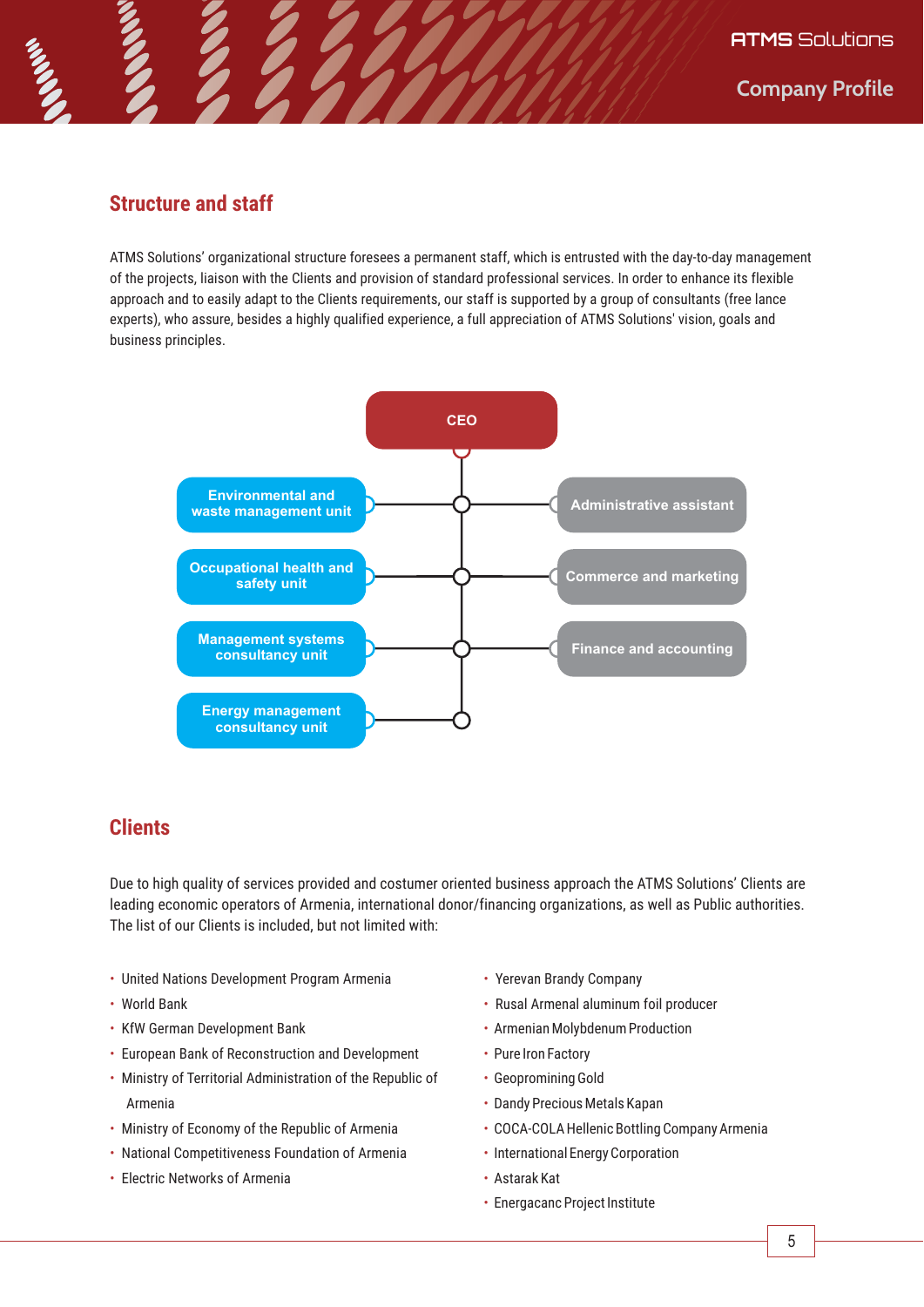# **Structure and staff**

ATMS Solutions' organizational structure foresees a permanent staff, which is entrusted with the day-to-day management of the projects, liaison with the Clients and provision of standard professional services. In order to enhance its flexible approach and to easily adapt to the Clients requirements, our staff is supported by a group of consultants (free lance experts), who assure, besides a highly qualified experience, a full appreciation of ATMS Solutions' vision, goals and business principles.



# **Clients**

Due to high quality of services provided and costumer oriented business approach the ATMS Solutions' Clients are leading economic operators of Armenia, international donor/financing organizations, as well as Public authorities. The list of our Clients is included, but not limited with:

- United Nations Development Program Armenia
- World Bank
- KfW German Development Bank
- European Bank of Reconstruction and Development
- Ministry of Territorial Administration of the Republic of Armenia
- Ministry of Economy of the Republic of Armenia
- National Competitiveness Foundation of Armenia
- Electric Networks of Armenia
- Yerevan Brandy Company
- Rusal Armenal aluminum foil producer
- Armenian Molybdenum Production
- Pure Iron Factory
- Geopromining Gold
- Dandy Precious Metals Kapan
- COCA-COLA Hellenic Bottling Company Armenia
- International Energy Corporation
- Astarak Kat
- Energacanc Project Institute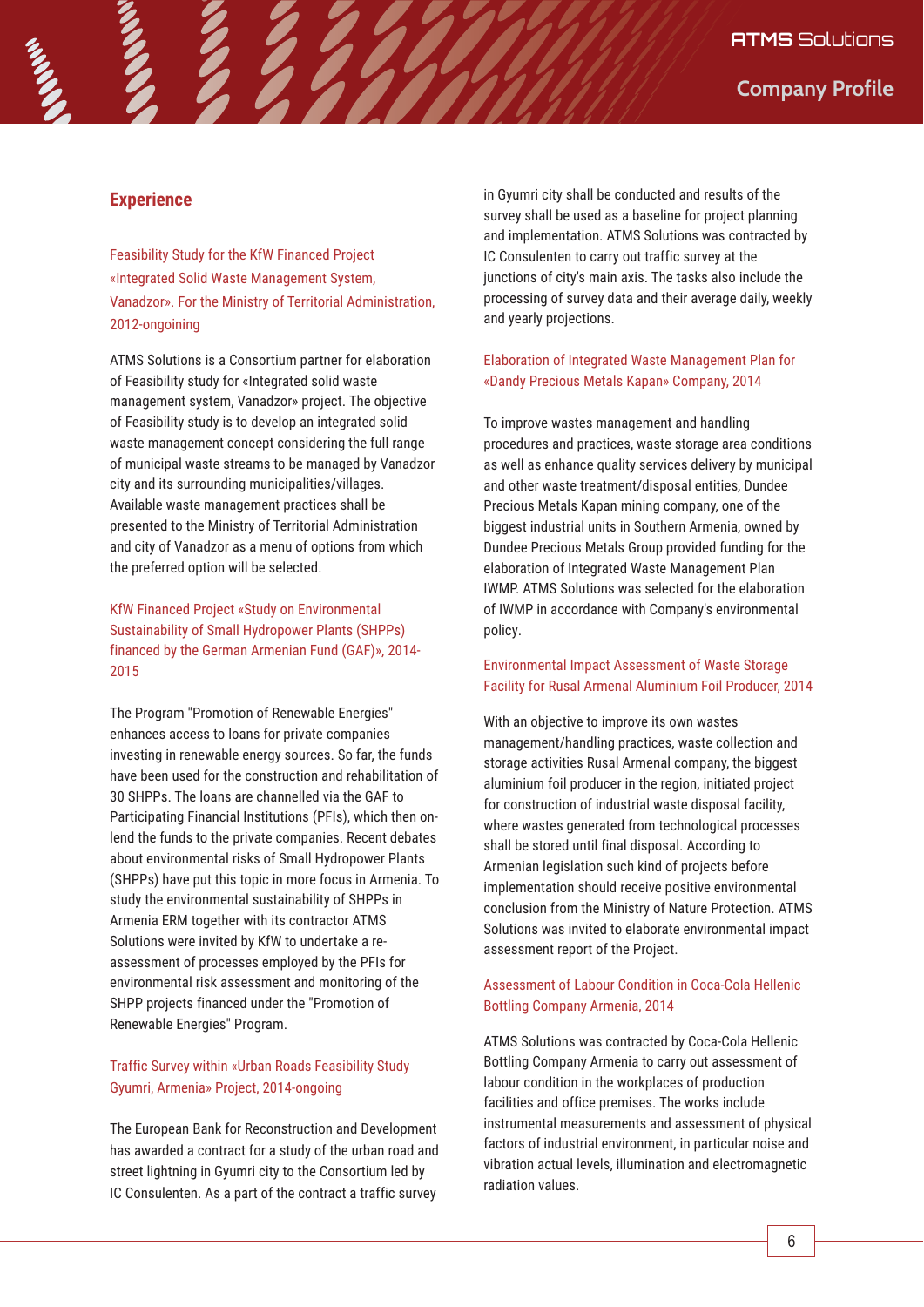## **Experience**

Feasibility Study for the KfW Financed Project «Integrated Solid Waste Management System, Vanadzor». For the Ministry of Territorial Administration, 2012-ongoining

ATMS Solutions is a Consortium partner for elaboration of Feasibility study for «Integrated solid waste management system, Vanadzor» project. The objective of Feasibility study is to develop an integrated solid waste management concept considering the full range of municipal waste streams to be managed by Vanadzor city and its surrounding municipalities/villages. Available waste management practices shall be presented to the Ministry of Territorial Administration and city of Vanadzor as a menu of options from which the preferred option will be selected.

KfW Financed Project «Study on Environmental Sustainability of Small Hydropower Plants (SHPPs) financed by the German Armenian Fund (GAF)», 2014-2015

The Program "Promotion of Renewable Energies" enhances access to loans for private companies investing in renewable energy sources. So far, the funds have been used for the construction and rehabilitation of 30 SHPPs. The loans are channelled via the GAF to Participating Financial Institutions (PFIs), which then onlend the funds to the private companies. Recent debates about environmental risks of Small Hydropower Plants (SHPPs) have put this topic in more focus in Armenia. To study the environmental sustainability of SHPPs in Armenia ERM together with its contractor ATMS Solutions were invited by KfW to undertake a reassessment of processes employed by the PFIs for environmental risk assessment and monitoring of the SHPP projects financed under the "Promotion of Renewable Energies" Program.

## Traffic Survey within «Urban Roads Feasibility Study Gyumri, Armenia» Project, 2014-ongoing

The European Bank for Reconstruction and Development has awarded a contract for a study of the urban road and street lightning in Gyumri city to the Consortium led by IC Consulenten. As a part of the contract a traffic survey

in Gyumri city shall be conducted and results of the survey shall be used as a baseline for project planning and implementation. ATMS Solutions was contracted by IC Consulenten to carry out traffic survey at the junctions of city's main axis. The tasks also include the processing of survey data and their average daily, weekly and yearly projections.

### Elaboration of Integrated Waste Management Plan for «Dandy Precious Metals Kapan» Company, 2014

To improve wastes management and handling procedures and practices, waste storage area conditions as well as enhance quality services delivery by municipal and other waste treatment/disposal entities, Dundee Precious Metals Kapan mining company, one of the biggest industrial units in Southern Armenia, owned by Dundee Precious Metals Group provided funding for the elaboration of Integrated Waste Management Plan IWMP. ATMS Solutions was selected for the elaboration of IWMP in accordance with Company's environmental policy.

#### Environmental Impact Assessment of Waste Storage Facility for Rusal Armenal Aluminium Foil Producer, 2014

With an objective to improve its own wastes management/handling practices, waste collection and storage activities Rusal Armenal company, the biggest aluminium foil producer in the region, initiated project for construction of industrial waste disposal facility, where wastes generated from technological processes shall be stored until final disposal. According to Armenian legislation such kind of projects before implementation should receive positive environmental conclusion from the Ministry of Nature Protection. ATMS Solutions was invited to elaborate environmental impact assessment report of the Project.

## Assessment of Labour Condition in Coca-Cola Hellenic Bottling Company Armenia, 2014

ATMS Solutions was contracted by Coca-Cola Hellenic Bottling Company Armenia to carry out assessment of labour condition in the workplaces of production facilities and office premises. The works include instrumental measurements and assessment of physical factors of industrial environment, in particular noise and vibration actual levels, illumination and electromagnetic radiation values.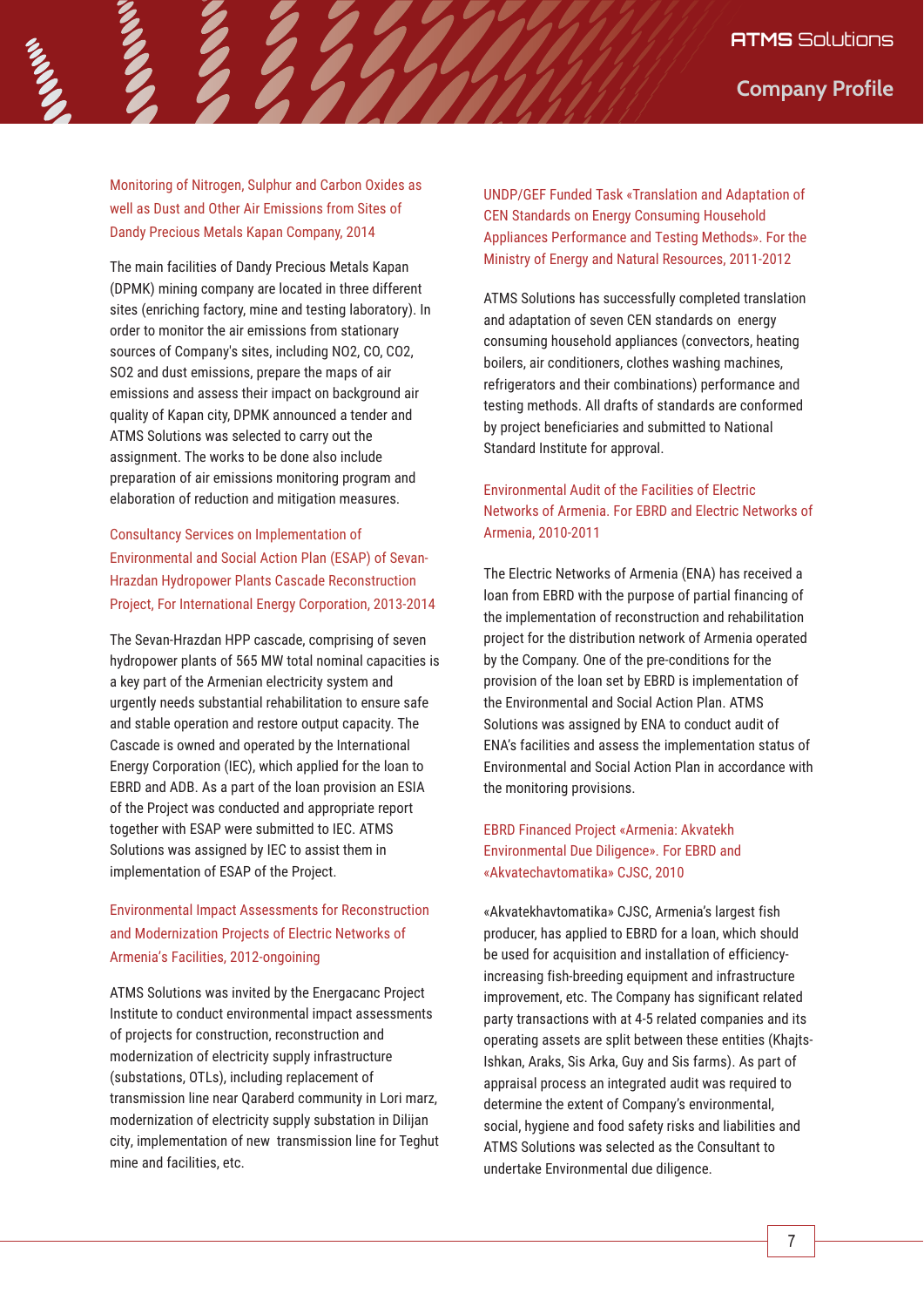**Company Profile**

Monitoring of Nitrogen, Sulphur and Carbon Oxides as well as Dust and Other Air Emissions from Sites of Dandy Precious Metals Kapan Company, 2014

The main facilities of Dandy Precious Metals Kapan (DPMK) mining company are located in three different sites (enriching factory, mine and testing laboratory). In order to monitor the air emissions from stationary sources of Company's sites, including NO2, CO, CO2, SO2 and dust emissions, prepare the maps of air emissions and assess their impact on background air quality of Kapan city, DPMK announced a tender and ATMS Solutions was selected to carry out the assignment. The works to be done also include preparation of air emissions monitoring program and elaboration of reduction and mitigation measures.

# Consultancy Services on Implementation of Environmental and Social Action Plan (ESAP) of Sevan-Hrazdan Hydropower Plants Cascade Reconstruction Project, For International Energy Corporation, 2013-2014

The Sevan-Hrazdan HPP cascade, comprising of seven hydropower plants of 565 MW total nominal capacities is a key part of the Armenian electricity system and urgently needs substantial rehabilitation to ensure safe and stable operation and restore output capacity. The Cascade is owned and operated by the International Energy Corporation (IEC), which applied for the loan to EBRD and ADB. As a part of the loan provision an ESIA of the Project was conducted and appropriate report together with ESAP were submitted to IEC. ATMS Solutions was assigned by IEC to assist them in implementation of ESAP of the Project.

# Environmental Impact Assessments for Reconstruction and Modernization Projects of Electric Networks of Armenia's Facilities, 2012-ongoining

ATMS Solutions was invited by the Energacanc Project Institute to conduct environmental impact assessments of projects for construction, reconstruction and modernization of electricity supply infrastructure (substations, OTLs), including replacement of transmission line near Qaraberd community in Lori marz, modernization of electricity supply substation in Dilijan city, implementation of new transmission line for Teghut mine and facilities, etc.

UNDP/GEF Funded Task «Translation and Adaptation of CEN Standards on Energy Consuming Household Appliances Performance and Testing Methods». For the Ministry of Energy and Natural Resources, 2011-2012

ATMS Solutions has successfully completed translation and adaptation of seven CEN standards on energy consuming household appliances (convectors, heating boilers, air conditioners, clothes washing machines, refrigerators and their combinations) performance and testing methods. All drafts of standards are conformed by project beneficiaries and submitted to National Standard Institute for approval.

# Environmental Audit of the Facilities of Electric Networks of Armenia. For EBRD and Electric Networks of Armenia, 2010-2011

The Electric Networks of Armenia (ENA) has received a loan from EBRD with the purpose of partial financing of the implementation of reconstruction and rehabilitation project for the distribution network of Armenia operated by the Company. One of the pre-conditions for the provision of the loan set by EBRD is implementation of the Environmental and Social Action Plan. ATMS Solutions was assigned by ENA to conduct audit of ENA's facilities and assess the implementation status of Environmental and Social Action Plan in accordance with the monitoring provisions.

# EBRD Financed Project «Armenia: Akvatekh Environmental Due Diligence». For EBRD and «Akvatechavtomatika» CJSC, 2010

«Akvatekhavtomatika» CJSC, Armenia's largest fish producer, has applied to EBRD for a loan, which should be used for acquisition and installation of efficiencyincreasing fish-breeding equipment and infrastructure improvement, etc. The Company has significant related party transactions with at 4-5 related companies and its operating assets are split between these entities (Khajts-Ishkan, Araks, Sis Arka, Guy and Sis farms). As part of appraisal process an integrated audit was required to determine the extent of Company's environmental, social, hygiene and food safety risks and liabilities and ATMS Solutions was selected as the Consultant to undertake Environmental due diligence.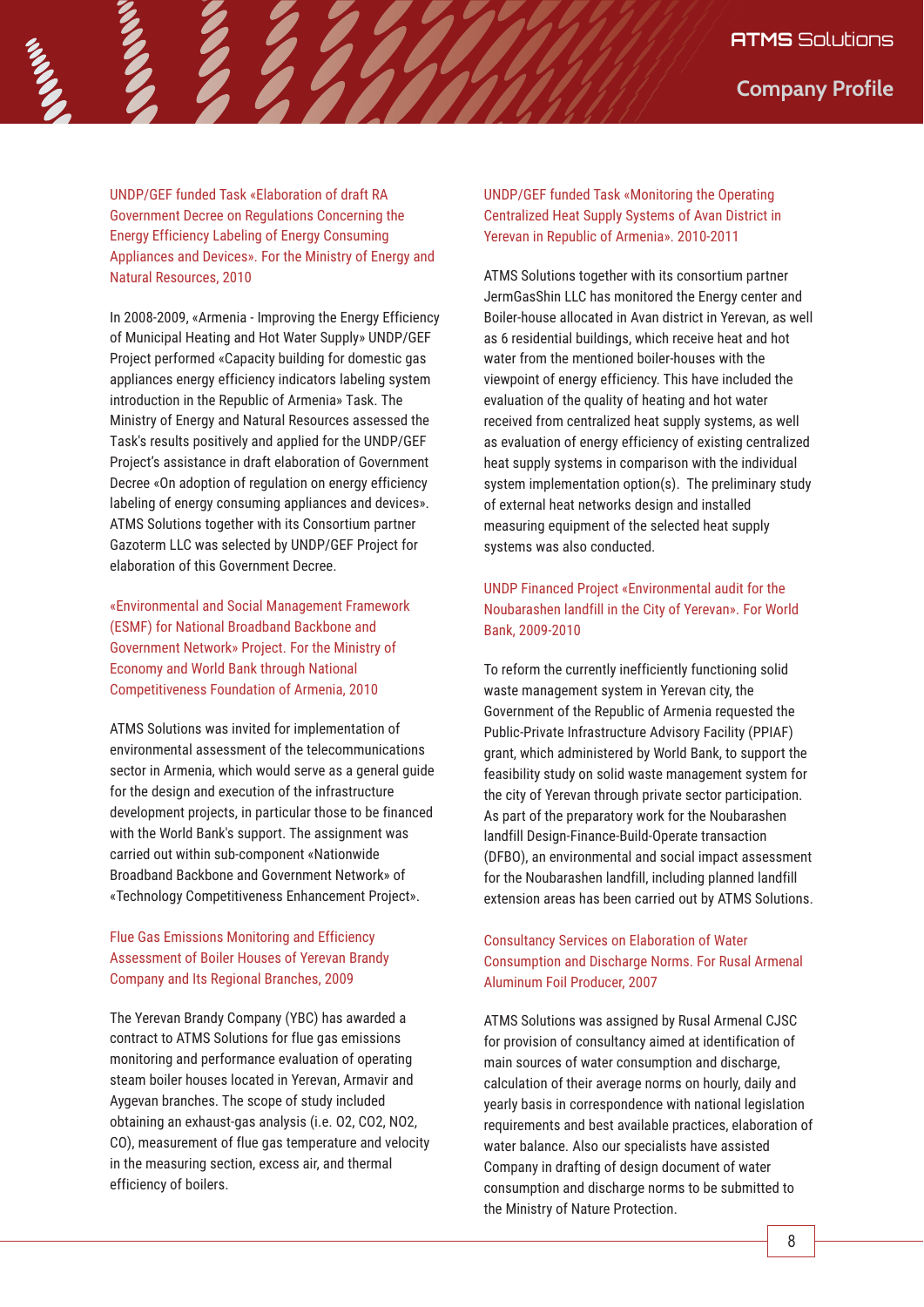UNDP/GEF funded Task «Elaboration of draft RA Government Decree on Regulations Concerning the Energy Efficiency Labeling of Energy Consuming Appliances and Devices». For the Ministry of Energy and Natural Resources, 2010

In 2008-2009, «Armenia - Improving the Energy Efficiency of Municipal Heating and Hot Water Supply» UNDP/GEF Project performed «Capacity building for domestic gas appliances energy efficiency indicators labeling system introduction in the Republic of Armenia» Task. The Ministry of Energy and Natural Resources assessed the Task's results positively and applied for the UNDP/GEF Project's assistance in draft elaboration of Government Decree «On adoption of regulation on energy efficiency labeling of energy consuming appliances and devices». ATMS Solutions together with its Consortium partner Gazoterm LLC was selected by UNDP/GEF Project for elaboration of this Government Decree.

«Environmental and Social Management Framework (ESMF) for National Broadband Backbone and Government Network» Project. For the Ministry of Economy and World Bank through National Competitiveness Foundation of Armenia, 2010

ATMS Solutions was invited for implementation of environmental assessment of the telecommunications sector in Armenia, which would serve as a general guide for the design and execution of the infrastructure development projects, in particular those to be financed with the World Bank's support. The assignment was carried out within sub-component «Nationwide Broadband Backbone and Government Network» of «Technology Competitiveness Enhancement Project».

# Flue Gas Emissions Monitoring and Efficiency Assessment of Boiler Houses of Yerevan Brandy Company and Its Regional Branches, 2009

The Yerevan Brandy Company (YBC) has awarded a contract to ATMS Solutions for flue gas emissions monitoring and performance evaluation of operating steam boiler houses located in Yerevan, Armavir and Aygevan branches. The scope of study included obtaining an exhaust-gas analysis (i.e. O2, CO2, NO2, CO), measurement of flue gas temperature and velocity in the measuring section, excess air, and thermal efficiency of boilers.

UNDP/GEF funded Task «Monitoring the Operating Centralized Heat Supply Systems of Avan District in Yerevan in Republic of Armenia». 2010-2011

ATMS Solutions together with its consortium partner JermGasShin LLC has monitored the Energy center and Boiler-house allocated in Avan district in Yerevan, as well as 6 residential buildings, which receive heat and hot water from the mentioned boiler-houses with the viewpoint of energy efficiency. This have included the evaluation of the quality of heating and hot water received from centralized heat supply systems, as well as evaluation of energy efficiency of existing centralized heat supply systems in comparison with the individual system implementation option(s). The preliminary study of external heat networks design and installed measuring equipment of the selected heat supply systems was also conducted.

# UNDP Financed Project «Environmental audit for the Noubarashen landfill in the City of Yerevan». For World Bank, 2009-2010

To reform the currently inefficiently functioning solid waste management system in Yerevan city, the Government of the Republic of Armenia requested the Public-Private Infrastructure Advisory Facility (PPIAF) grant, which administered by World Bank, to support the feasibility study on solid waste management system for the city of Yerevan through private sector participation. As part of the preparatory work for the Noubarashen landfill Design-Finance-Build-Operate transaction (DFBO), an environmental and social impact assessment for the Noubarashen landfill, including planned landfill extension areas has been carried out by ATMS Solutions.

# Consultancy Services on Elaboration of Water Consumption and Discharge Norms. For Rusal Armenal Aluminum Foil Producer, 2007

ATMS Solutions was assigned by Rusal Armenal CJSC for provision of consultancy aimed at identification of main sources of water consumption and discharge, calculation of their average norms on hourly, daily and yearly basis in correspondence with national legislation requirements and best available practices, elaboration of water balance. Also our specialists have assisted Company in drafting of design document of water consumption and discharge norms to be submitted to the Ministry of Nature Protection.